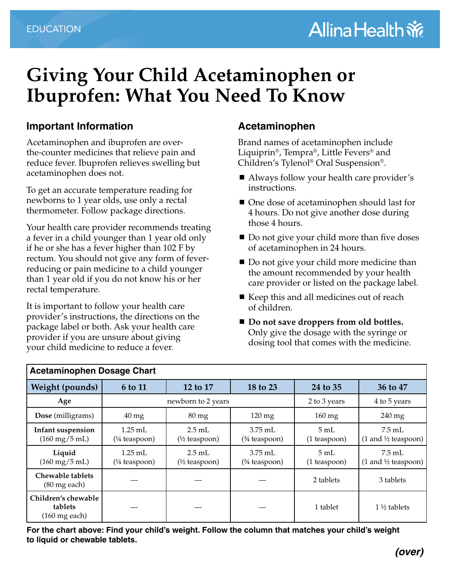# **Giving Your Child Acetaminophen or Ibuprofen: What You Need To Know**

## **Important Information**

Acetaminophen and ibuprofen are overthe-counter medicines that relieve pain and reduce fever. Ibuprofen relieves swelling but acetaminophen does not.

To get an accurate temperature reading for newborns to 1 year olds, use only a rectal thermometer. Follow package directions.

Your health care provider recommends treating a fever in a child younger than 1 year old only if he or she has a fever higher than 102 F by rectum. You should not give any form of feverreducing or pain medicine to a child younger than 1 year old if you do not know his or her rectal temperature.

It is important to follow your health care provider's instructions, the directions on the package label or both. Ask your health care provider if you are unsure about giving your child medicine to reduce a fever.

### **Acetaminophen**

Brand names of acetaminophen include Liquiprin®, Tempra®, Little Fevers® and Children's Tylenol® Oral Suspension®.

- Always follow your health care provider's instructions.
- One dose of acetaminophen should last for 4 hours. Do not give another dose during those 4 hours.
- Do not give your child more than five doses of acetaminophen in 24 hours.
- Do not give your child more medicine than the amount recommended by your health care provider or listed on the package label.
- Keep this and all medicines out of reach of children.
- Do not save droppers from old bottles. Only give the dosage with the syringe or dosing tool that comes with the medicine.

| <b>Acetaminophen Dosage Chart</b>                          |                                      |                                              |                             |                                  |                                                            |  |  |  |
|------------------------------------------------------------|--------------------------------------|----------------------------------------------|-----------------------------|----------------------------------|------------------------------------------------------------|--|--|--|
| <b>Weight (pounds)</b>                                     | 6 to 11                              | 12 to 17                                     | 18 to 23                    | 24 to 35                         | 36 to 47                                                   |  |  |  |
| Age                                                        | newborn to 2 years                   |                                              |                             | 2 to 3 years                     | 4 to 5 years                                               |  |  |  |
| Dose (milligrams)                                          | $40 \text{ mg}$                      | $80 \,\mathrm{mg}$                           | $120 \text{ mg}$            | $160$ mg                         | 240 mg                                                     |  |  |  |
| Infant suspension<br>$(160 \,\mathrm{mg}/5 \,\mathrm{mL})$ | $1.25$ mL<br>$(1/4 \text{ tespoon})$ | $2.5 \text{ mL}$<br>$(\frac{1}{2}$ teaspoon) | $3.75$ mL<br>$(*$ teaspoon) | $5 \text{ mL}$<br>(1 teaspoon)   | $7.5$ mL<br>$(1 \text{ and } \frac{1}{2} \text{ teaspon})$ |  |  |  |
| Liquid<br>$(160 \,\mathrm{mg}/5 \,\mathrm{mL})$            | $1.25$ mL<br>$(1/4 \text{ tespoon})$ | $2.5 \text{ mL}$<br>$(\frac{1}{2}$ teaspoon) | $3.75$ mL<br>$(*$ teaspoon) | $5 \text{ mL}$<br>$(1$ teaspoon) | 7.5 mL<br>$(1 \text{ and } \frac{1}{2} \text{ teaspon})$   |  |  |  |
| Chewable tablets<br>$(80 \text{ mg each})$                 |                                      |                                              |                             | 2 tablets                        | 3 tablets                                                  |  |  |  |
| Children's chewable<br>tablets<br>$(160 \text{ mg each})$  |                                      |                                              |                             | 1 tablet                         | $1\frac{1}{2}$ tablets                                     |  |  |  |

**For the chart above: Find your child's weight. Follow the column that matches your child's weight to liquid or chewable tablets.**